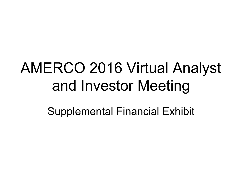# AMERCO 2016 Virtual Analyst and Investor Meeting

Supplemental Financial Exhibit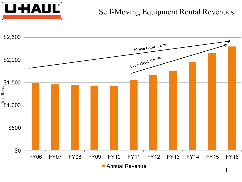

### Self-Moving Equipment Rental Revenues

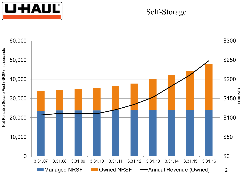

#### Self-Storage

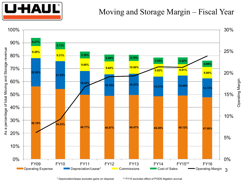

#### Moving and Storage Margin – Fiscal Year



\* Depreciation/lease excludes gains on disposal \*\* FY15 excludes effect of PODS litigation accrual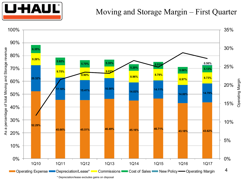

#### Moving and Storage Margin – First Quarter

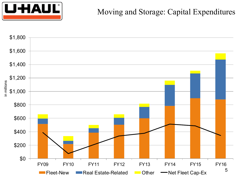

### Moving and Storage: Capital Expenditures

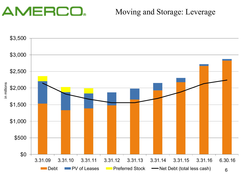## AMERCO.

### Moving and Storage: Leverage